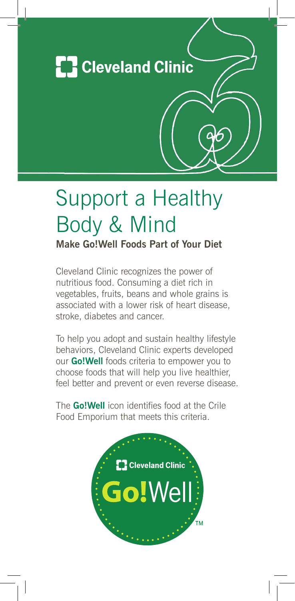

## Support a Healthy Body & Mind

**Make Go!Well Foods Part of Your Diet**

Cleveland Clinic recognizes the power of nutritious food. Consuming a diet rich in vegetables, fruits, beans and whole grains is associated with a lower risk of heart disease, stroke, diabetes and cancer.

To help you adopt and sustain healthy lifestyle behaviors, Cleveland Clinic experts developed our **Go!Well** foods criteria to empower you to choose foods that will help you live healthier, feel better and prevent or even reverse disease.

The **Go!Well** icon identifies food at the Crile Food Emporium that meets this criteria.